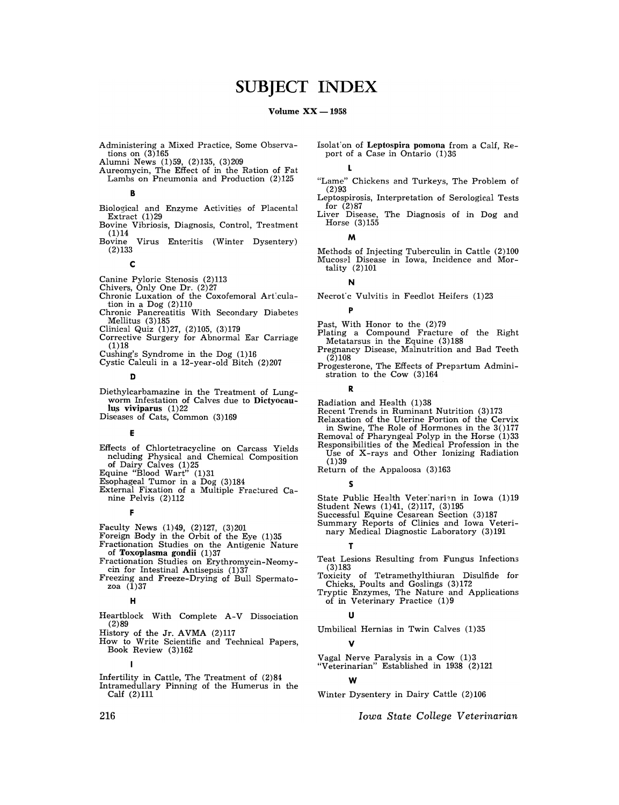# **SUBJECT INDEX**

### Volume  $XX - 1958$

- Administering a Mixed Practice, Some Observations on  $(3)165$
- Alumni News (1)59, (2)135, (3)209
- Aureomycin, The Effect of in the Ration of Fat Lambs on Pneumonia and Production (2)125

B

- Biological and Enzyme Activities of Placental Extract (1) 29
- Bovine Vibriosis, Diagnosis, Control, Treatment (1)14<br>Bovine
- Virus Enteritis (Winter Dysentery) (2)133

C

- Canine Pyloric Stenosis (2)113
- Chivers, Only One Dr. (2)27
- Chronic Luxation of the Coxofemoral Art'cula-tion in a Dog (2)110
- Chronic Pancreatitis With Secondary Diabetes Mellitus (3)185
- Clinical Quiz (1)27, (2)105, (3)179
- Corrective Surgery for Abnormal Ear Carriage  $(1)18$
- Cushing's Syndrome in the Dog (1)16
- Cystic Calculi in a 12-year-old Bitch (2)207

o

- Diethylcarbamazine in the Treatment of Lung-<br>worm Infestation of Calves due to Dictyocau-<br>lus viviparus (1) 22
- Diseases of Cats, Common (3)169

### E

- Effects of Chlortetracycline on Carcass Yields neluding Physical and Chemical Composition of Dairy Calves (1)25
- Equine "Blood Wart"  $(1)$ 31
- Esophageal Tumor in a Dog (3)184
- External Fixation of a Multiple Fractured Canine Pelvis (2)112

F

- Faculty News (1)49, (2)127, (3)201
- Foreign Body in the Orbit of the Eye (1)35
- Fractionation Studies on the Antigenic Nature of Toxoplasma gondii (1)37
- Fractionation Studies on Erythromycin-Neomycin for Intestinal Antisepsis (1)37
- Freezing and Freeze-Drying of Bull Spermato- zoa (1)37

### H

- Heartblock With Complete A-V Dissociation (2)89
- History of the Jr. AVMA (2)117
- How to Write Scientific and Technical Papers, Book Review (3)162
- I Infertility in Cattle, The Treatment of (2)84 Intramedullary Pinning of the Humerus in the Calf (2)111

Isolation of Leptospira pomona from a Calf, Report of a Case in Ontario (1)36

L

- "Lame" Chickens and Turkeys, The Problem of (2)93
- Leptospirosis, Interpretation of Serological Tests for (2)87
- Liver Disease, The Diagnosis of in Dog and Horse (3)155

M

Methods of Injecting Tuberculin in Cattle (2)100 Mucos21 Disease in Iowa, Incidence and Mortality (2)101

N

p

Necrot'c Vulvitis in Feedlot Heifers (1)23

- Past, With Honor to the (2)79
- Plating a Compound Fracture of the Right Metatarsus in the Equine (3)188
- Pregnancy Disease, Malnutrition and Bad Teeth  $(2)108$
- Progesterone, The Effects of Prepartum Administration to the Cow (3)164

R

- Radiation and Health (1)38
- Recent Trends in Ruminant Nutrition (3)173
- Relaxation of the Uterine Portion of the Cervix
- in Swine, The Role of Hormones in the 30177 Removal of Pharyngeal Polyp in the Horse (1)33
- Responsibilities of the Medical Profession in the Use of X-rays and Other Ionizing Radiation  $(1)39$

Return of the Appaloosa (3)163

5

- State Public Health Veter:narien in Iowa (1)19
- Student News (1)41, (2)117, (3)195 Successful Equine Cesarean Section (3)187
- Summary Reports of Clinics and Iowa Veteri-
- nary Medical Diagnostic Laboratory (3)191

T

- Teat Lesions Resulting from Fungus Infections (3)183
- Toxicity of Tetramethylthiuran Disulfide for Chicks, Poults and Goslings (3)172
- Tryptic Enzymes, The Nature and Applications of in Veterinary Practice (1)9

U

Umbilical Hernias in Twin Calves (1)35

# V

Vagal Nerve Paralysis in a Cow (1)3 "Veterinarian" Established in 1938 (2)121

W

Winter Dysentery in Dairy Cattle (2)106

*Iowa State College Veterinarian*